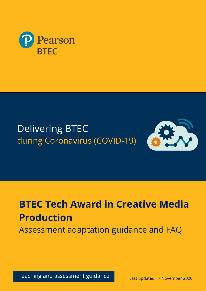

## Delivering BTEC during Coronavirus (COVID-19)



# **BTEC Tech Award in Creative Media Production**

Assessment adaptation guidance and FAQ

Teaching and assessment guidance the seat updated 17 November 2020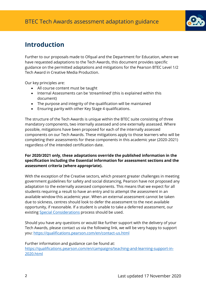

## **Introduction**

Further to our proposals made to Ofqual and the Department for Education, where we have requested adaptations to the Tech Awards, this document provides specific guidance on the permitted adaptations and mitigations for the Pearson BTEC Level 1/2 Tech Award in Creative Media Production.

Our key principles are:

- All course content must be taught
- Internal Assessments can be 'streamlined' (this is explained within this document)
- The purpose and integrity of the qualification will be maintained
- Ensuring parity with other Key Stage 4 qualifications.

The structure of the Tech Awards is unique within the BTEC suite consisting of three mandatory components, two internally assessed and one externally assessed. Where possible, mitigations have been proposed for each of the internally assessed components on our Tech Awards. These mitigations apply to those learners who will be completing their assessments for these components in this academic year (2020-2021) regardless of the intended certification date.

#### **For 2020/2021 only, these adaptations override the published information in the specification including the Essential information for assessment sections and the assessment criteria (where appropriate).**

With the exception of the Creative sectors, which present greater challenges in meeting government guidelines for safety and social distancing, Pearson have not proposed any adaptation to the externally assessed components. This means that we expect for all students requiring a result to have an entry and to attempt the assessment in an available window this academic year. When an external assessment cannot be taken due to sickness, centres should look to defer the assessment to the next available opportunity, if reasonable. If a student is unable to take a deferred assessment, our existing **Special Considerations** process should be used.

Should you have any questions or would like further support with the delivery of your Tech Awards, please contact us via the following link, we will be very happy to support you:<https://qualifications.pearson.com/en/contact-us.html>

Further information and guidance can be found at: [https://qualifications.pearson.com/en/campaigns/teaching-and-learning-support-in-](https://qualifications.pearson.com/en/campaigns/teaching-and-learning-support-in-2020.html)[2020.html](https://qualifications.pearson.com/en/campaigns/teaching-and-learning-support-in-2020.html)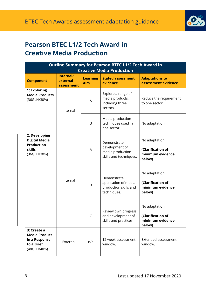

## **Pearson BTEC L1/2 Tech Award in Creative Media Production**

| <b>Outline Summary for Pearson BTEC L1/2 Tech Award in</b><br><b>Creative Media Production</b> |                                     |                        |                                                                             |                                                                   |  |
|------------------------------------------------------------------------------------------------|-------------------------------------|------------------------|-----------------------------------------------------------------------------|-------------------------------------------------------------------|--|
| <b>Component</b>                                                                               | Internal/<br>external<br>assessment | <b>Learning</b><br>Aim | <b>Stated assessment</b><br>evidence                                        | <b>Adaptations to</b><br>assessment evidence                      |  |
| 1: Exploring<br><b>Media Products</b><br>(36GLH/30%)                                           | Internal                            | A                      | Explore a range of<br>media products,<br>including three<br>sectors.        | Reduce the requirement<br>to one sector.                          |  |
|                                                                                                |                                     | B                      | Media production<br>techniques used in<br>one sector.                       | No adaptation.                                                    |  |
| 2: Developing<br><b>Digital Media</b><br><b>Production</b><br><b>skills</b><br>(36GLH/30%)     | Internal                            | A                      | Demonstrate<br>development of<br>media production<br>skills and techniques. | No adaptation.<br>(Clarification of<br>minimum evidence<br>below) |  |
|                                                                                                |                                     | B                      | Demonstrate<br>application of media<br>production skills and<br>techniques. | No adaptation.<br>(Clarification of<br>minimum evidence<br>below) |  |
|                                                                                                |                                     | C                      | Review own progress<br>and development of<br>skills and practices.          | No adaptation.<br>(Clarification of<br>minimum evidence<br>below) |  |
| 3: Create a<br><b>Media Product</b><br>in a Response<br>to a Brief<br>(48GLH/40%)              | External                            | n/a                    | 12 week assessment<br>window.                                               | Extended assessment<br>window.                                    |  |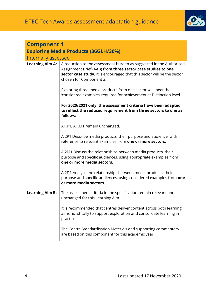

| <b>Component 1</b>                                                 |                                                                                                                                                                                                                                           |  |  |  |
|--------------------------------------------------------------------|-------------------------------------------------------------------------------------------------------------------------------------------------------------------------------------------------------------------------------------------|--|--|--|
| <b>Exploring Media Products (36GLH/30%)</b><br>Internally assessed |                                                                                                                                                                                                                                           |  |  |  |
| <b>Learning Aim A:</b>                                             | A reduction to the assessment burden as suggested in the Authorised<br>Assignment Brief (AAB) from three sector case studies to one<br>sector case study. It is encouraged that this sector will be the sector<br>chosen for Component 3. |  |  |  |
|                                                                    | Exploring three media products from one sector will meet the<br>'considered examples' required for achievement at Distinction level.                                                                                                      |  |  |  |
|                                                                    | For 2020/2021 only, the assessment criteria have been adapted<br>to reflect the reduced requirement from three sectors to one as<br>follows:                                                                                              |  |  |  |
|                                                                    | A1.P1, A1.M1 remain unchanged.                                                                                                                                                                                                            |  |  |  |
|                                                                    | A.2P1 Describe media products, their purpose and audience, with<br>reference to relevant examples from one or more sectors.                                                                                                               |  |  |  |
|                                                                    | A.2M1 Discuss the relationships between media products, their<br>purpose and specific audiences, using appropriate examples from<br>one or more media sectors.                                                                            |  |  |  |
|                                                                    | A.2D1 Analyse the relationships between media products, their<br>purpose and specific audiences, using considered examples from one<br>or more media sectors.                                                                             |  |  |  |
| <b>Learning Aim B:</b>                                             | The assessment criteria in the specification remain relevant and<br>unchanged for this Learning Aim.                                                                                                                                      |  |  |  |
|                                                                    | It is recommended that centres deliver content across both learning<br>aims holistically to support exploration and consolidate learning in<br>practice.                                                                                  |  |  |  |
|                                                                    | The Centre Standardisation Materials and supporting commentary<br>are based on this component for this academic year.                                                                                                                     |  |  |  |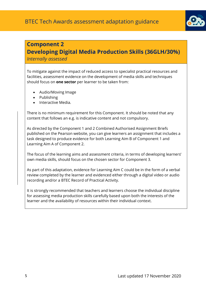

### **Component 2**

## **Developing Digital Media Production Skills (36GLH/30%)**

#### *Internally assessed*

To mitigate against the impact of reduced access to specialist practical resources and facilities, assessment evidence on the development of media skills and techniques should focus on **one sector** per learner to be taken from:

- Audio/Moving Image
- Publishing
- Interactive Media.

There is no minimum requirement for this Component. It should be noted that any content that follows an e.g. is indicative content and not compulsory.

As directed by the Component 1 and 2 Combined Authorised Assignment Briefs published on the Pearson website, you can give learners an assignment that includes a task designed to produce evidence for both Learning Aim B of Component 1 and Learning Aim A of Component 2.

The focus of the learning aims and assessment criteria, in terms of developing learners' own media skills, should focus on the chosen sector for Component 3.

As part of this adaptation, evidence for Learning Aim C could be in the form of a verbal review completed by the learner and evidenced either through a digital video or audio recording and/or a BTEC Record of Practical Activity.

It is strongly recommended that teachers and learners choose the individual discipline for assessing media production skills carefully based upon both the interests of the learner and the availability of resources within their individual context.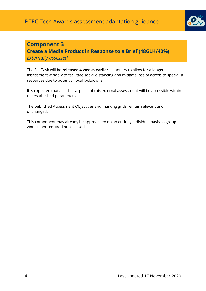

#### **Component 3**

**Create a Media Product in Response to a Brief (48GLH/40%)**  *Externally assessed*

The Set Task will be **released 4 weeks earlier** in January to allow for a longer assessment window to facilitate social distancing and mitigate loss of access to specialist resources due to potential local lockdowns.

It is expected that all other aspects of this external assessment will be accessible within the established parameters.

The published Assessment Objectives and marking grids remain relevant and unchanged.

This component may already be approached on an entirely individual basis as group work is not required or assessed.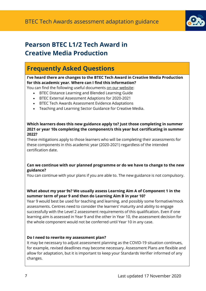

## **Pearson BTEC L1/2 Tech Award in Creative Media Production**

## **Frequently Asked Questions**

**I've heard there are changes to the BTEC Tech Award in Creative Media Production for this academic year. Where can I find this information?**

You can find the following useful documents [on our website:](https://qualifications.pearson.com/en/campaigns/teaching-and-learning-support-in-2020.html)

- BTEC Distance Learning and Blended Learning Guide
- BTEC External Assessment Adaptions for 2020-2021
- BTEC Tech Awards Assessment Evidence Adaptations
- Teaching and Learning Sector Guidance for Creative Media.

#### **Which learners does this new guidance apply to? Just those completing in summer 2021 or year 10s completing the component/s this year but certificating in summer 2022?**

These mitigations apply to those learners who will be completing their assessments for these components in this academic year (2020-2021) regardless of the intended certification date.

#### **Can we continue with our planned programme or do we have to change to the new guidance?**

You can continue with your plans if you are able to. The new guidance is not compulsory.

#### **What about my year 9s? We usually assess Learning Aim A of Component 1 in the summer term of year 9 and then do Learning Aim B in year 10?**

Year 9 would best be used for teaching and learning, and possibly some formative/mock assessments. Centres need to consider the learners' maturity and ability to engage successfully with the Level 2 assessment requirements of this qualification. Even if one learning aim is assessed in Year 9 and the other in Year 10, the assessment decision for the whole component would not be conferred until Year 10 in any case.

#### **Do I need to rewrite my assessment plan?**

It may be necessary to adjust assessment planning as the COVID-19 situation continues, for example, revised deadlines may become necessary. Assessment Plans are flexible and allow for adaptation, but it is important to keep your Standards Verifier informed of any changes.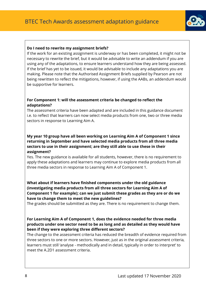

#### **Do I need to rewrite my assignment briefs?**

If the work for an existing assignment is underway or has been completed, it might not be necessary to rewrite the brief, but it would be advisable to write an addendum if you are using any of the adaptations, to ensure learners understand how they are being assessed. If the brief has yet to be issued, it would be advisable to include any adaptations you are making. Please note that the Authorised Assignment Briefs supplied by Pearson are not being rewritten to reflect the mitigations, however, if using the AABs, an addendum would be supportive for learners.

#### **For Component 1: will the assessment criteria be changed to reflect the adaptations?**

The assessment criteria have been adapted and are included in this guidance document i.e. to reflect that learners can now select media products from one, two or three media sectors in response to Learning Aim A.

#### **My year 10 group have all been working on Learning Aim A of Component 1 since returning in September and have selected media products from all three media sectors to use in their assignment; are they still able to use these in their assignment?**

Yes. The new guidance is available for all students, however, there is no requirement to apply these adaptations and learners may continue to explore media products from all three media sectors in response to Learning Aim A of Component 1.

**What about if learners have finished components under the old guidance (investigating media products from all three sectors for Learning Aim A of Component 1 for example); can we just submit these grades as they are or do we have to change them to meet the new guidelines?**

The grades should be submitted as they are. There is no requirement to change them.

#### **For Learning Aim A of Component 1, does the evidence needed for three media products under one sector need to be as long and as detailed as they would have been if they were exploring three different sectors?**

The change to the assessment criteria has reduced the breadth of evidence required from three sectors to one or more sectors. However, just as in the original assessment criteria, learners must still 'analyse - methodically and in detail, typically in order to interpret' to meet the A.2D1 assessment criteria.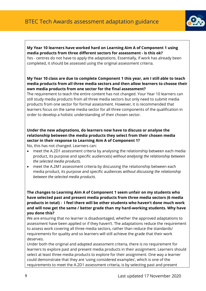

#### **My Year 10 learners have worked hard on Learning Aim A of Component 1 using media products from three different sectors for assessment - is this ok?**  Yes - centres do not have to apply the adaptations. Essentially, if work has already been completed, it should be assessed using the original assessment criteria.

#### **My Year 10 class are due to complete Component 1 this year, am I still able to teach media products from all three media sectors and then allow learners to choose their own media products from one sector for the final assessment?**

The requirement to teach the entire content has not changed. Your Year 10 learners can still study media products from all three media sectors but only need to submit media products from one sector for formal assessment. However, it is recommended that learners focus on the same media sector for all three components of the qualification in order to develop a holistic understanding of their chosen sector.

#### **Under the new adaptations, do learners now have to discuss or analyse the relationship between the media products they select from their chosen media sector in their response to Learning Aim A of Component 1?**

No, this has not changed. Learners can:

- meet the A.2D1 assessment criteria by analysing the relationship between each media product, its purpose and specific audience(s) *without analysing the relationship between the selected media products.*
- meet the A.2M1 assessment criteria by discussing the relationship between each media product, its purpose and specific audiences *without discussing the relationship between the selected media products.*

**The changes to Learning Aim A of Component 1 seem unfair on my students who have selected past and present media products from three media sectors (6 media products in total) - I feel there will be other students who haven't done much work and will now get the same / better grade than my hard-working students. Why have you done this?**

We are ensuring that no learner is disadvantaged, whether the approved adaptations to assessment have been applied or if they haven't. The adaptations reduce the requirement to assess work covering all three media sectors, rather than reduce the standards/ requirements for quality and so learners will still achieve the grade that their work deserves.

Under both the original and adapted assessment criteria, there is no requirement for learners to explore past and present media products in their assignment. Learners should select at least three media products to explore for their assignment. One way a learner could demonstrate that they are 'using considered examples', which is one of the requirements to meet the A.2D1 assessment criteria, is by selecting past and present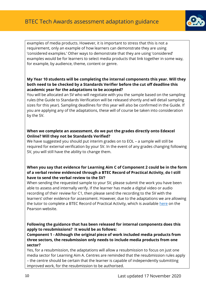

examples of media products. However, it is important to stress that this is not a requirement, only an example of how learners can demonstrate they are using 'considered examples.' Other ways to demonstrate that they are using 'considered' examples would be for learners to select media products that link together in some way, for example, by audience, theme, content or genre.

#### **My Year 10 students will be completing the internal components this year. Will they both need to be checked by a Standards Verifier before the cut off deadline this academic year for the adaptations to be accepted?**

You will be allocated an SV who will negotiate with you the sample based on the sampling rules (the Guide to Standards Verification will be released shortly and will detail sampling sizes for this year). Sampling deadlines for this year will also be confirmed in the Guide. If you are applying any of the adaptations, these will of course be taken into consideration by the SV.

#### **When we complete an assessment, do we put the grades directly onto Edexcel Online? Will they not be Standards Verified?**

We have suggested you should put interim grades on to EOL – a sample will still be required for external verification by your SV. In the event of any grades changing following SV, you will still have the ability to change them.

#### **When you say that evidence for Learning Aim C of Component 2 could be in the form of a verbal review evidenced through a BTEC Record of Practical Activity, do I still have to send the verbal review to the SV?**

When sending the requested sample to your SV, please submit the work you have been able to assess and internally verify. If the learner has made a digital video or audio recording of their review for C1, then please send the recording to the SV with the learners' other evidence for assessment. However, due to the adaptations we are allowing the tutor to complete a BTEC Record of Practical Activity, which is available [here](https://qualifications.pearson.com/en/support/support-topics/assessment-and-verification/btec-assessment-and-verification-tools.html) on the Pearson website.

#### **Following the guidance that has been released for internal components does this apply to resubmissions? It would be as follows:**

**Component 1 - Although the original piece of work included media products from three sectors, the resubmission only needs to include media products from one sector?**

Yes, for a resubmission, the adaptations will allow a resubmission to focus on just one media sector for Learning Aim A. Centres are reminded that the resubmission rules apply – the centre should be certain that the learner is capable of independently submitting improved work, for the resubmission to be authorised.